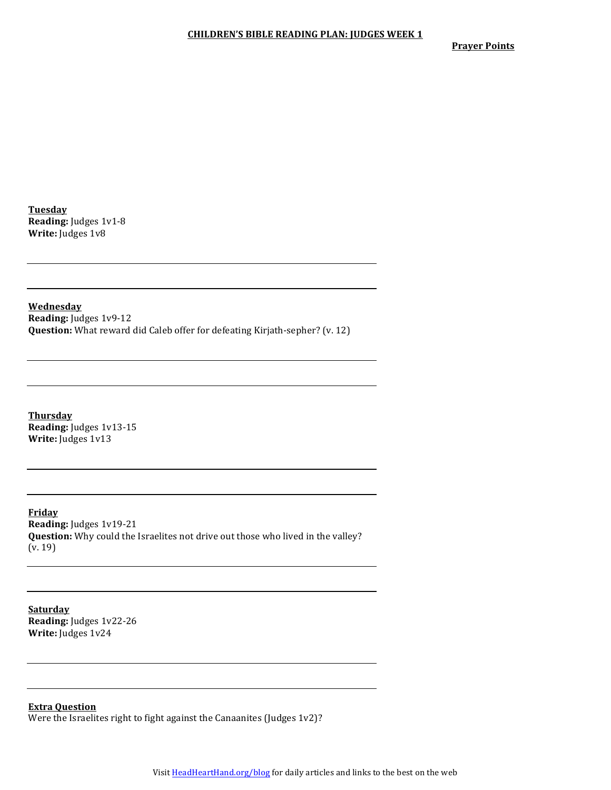**Prayer Points** 

**Tuesday Reading:** Judges 1v1-8 **Write:** Judges 1v8

**Wednesday Reading:** Judges 1v9-12 **Question:** What reward did Caleb offer for defeating Kirjath-sepher? (v. 12)

**Thursday Reading:** Judges 1v13-15 **Write:** Judges 1v13

**Friday Reading:** Judges 1v19-21 **Question:** Why could the Israelites not drive out those who lived in the valley?  $(v. 19)$ 

**Saturday Reading:** Judges 1v22-26 **Write:** Judges 1v24

**Extra Question**

Were the Israelites right to fight against the Canaanites (Judges  $1v2$ )?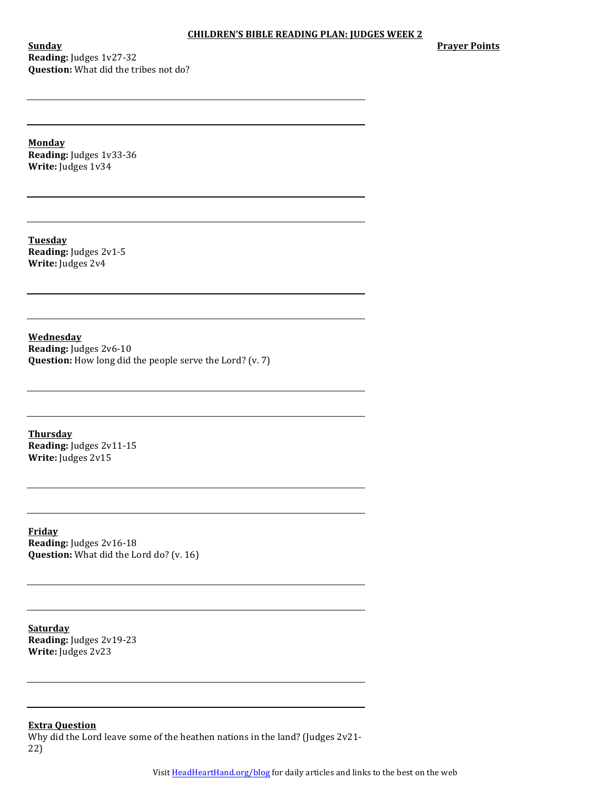**Sunday Reading:** Judges 1v27-32 **Question:** What did the tribes not do? **Prayer Points** 

**Monday Reading:** Judges 1v33-36 **Write:** Judges 1v34

**Tuesday Reading:** Judges 2v1-5 **Write:** Judges 2v4

**Wednesday Reading:** Judges 2v6-10 **Question:** How long did the people serve the Lord? (v. 7)

**Thursday Reading:** Judges 2v11-15 **Write:** Judges 2v15

**Friday Reading:** Judges 2v16-18 **Question:** What did the Lord do? (v. 16)

**Saturday Reading:** Judges 2v19-23 **Write:** Judges 2v23

**Extra Question**

Why did the Lord leave some of the heathen nations in the land? (Judges 2v21-22)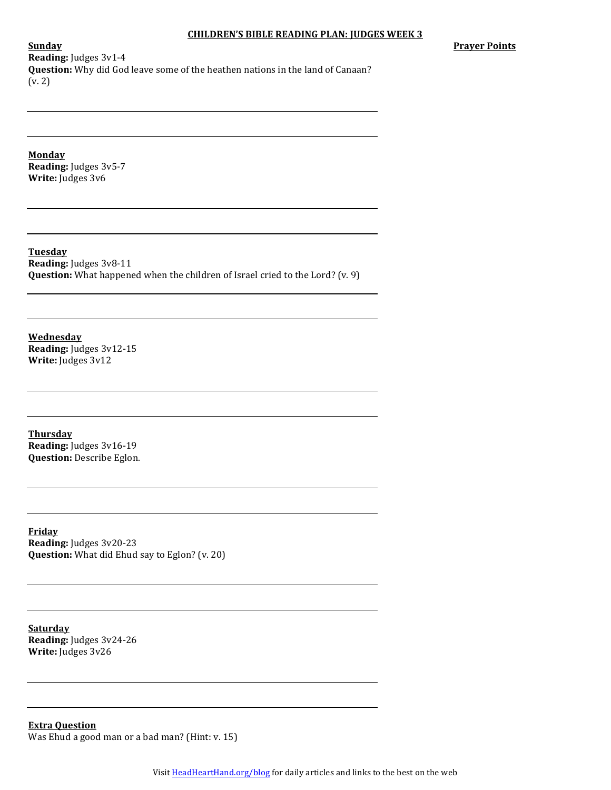**Prayer Points** 

**Reading:** Judges 3v1-4 **Question:** Why did God leave some of the heathen nations in the land of Canaan?  $(v. 2)$ 

**Monday Reading:** Judges 3v5-7 **Write:** Judges 3v6

**Sunday**

**Tuesday Reading:** Judges 3v8-11 **Question:** What happened when the children of Israel cried to the Lord? (v. 9)

**Wednesday Reading:** Judges 3v12-15 **Write:** Judges 3v12

**Thursday Reading:** Judges 3v16-19 **Question:** Describe Eglon.

**Friday Reading:** Judges 3v20-23 **Question:** What did Ehud say to Eglon? (v. 20)

**Saturday Reading:** Judges 3v24-26 **Write:** Judges 3v26

**Extra Question** Was Ehud a good man or a bad man? (Hint:  $v. 15$ )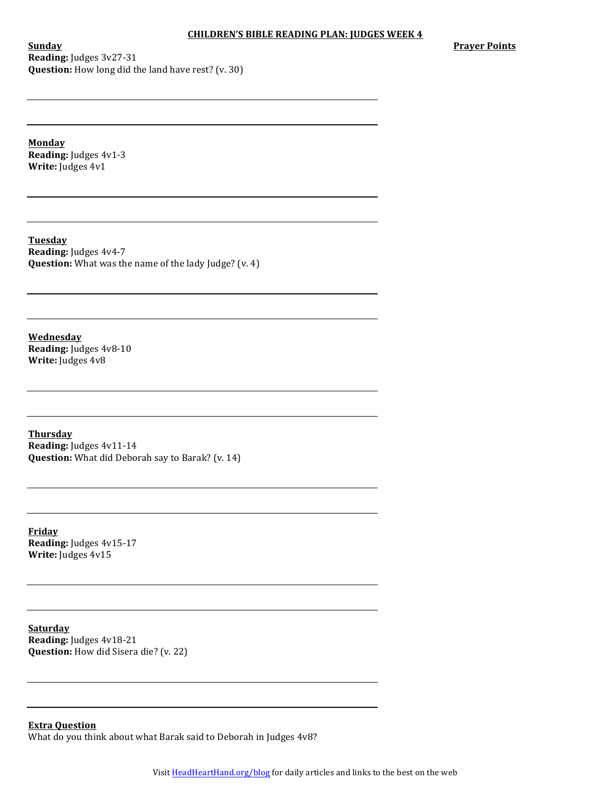**Sunday Reading:** Judges 3v27-31 **Question:** How long did the land have rest? (v. 30) **Prayer Points** 

**Monday Reading:** Judges 4v1-3 **Write:** Judges 4v1

**Tuesday Reading:** Judges 4v4-7 **Question:** What was the name of the lady Judge? (v. 4)

**Wednesday Reading:** Judges 4v8-10 **Write:** Judges 4v8

**Thursday Reading:** Judges 4v11-14 **Question:** What did Deborah say to Barak? (v. 14)

**Friday Reading:** Judges 4v15-17 **Write:** Judges 4v15

**Saturday Reading:** Judges 4v18-21 **Question:** How did Sisera die? (v. 22)

**Extra Question**

What do you think about what Barak said to Deborah in Judges 4v8?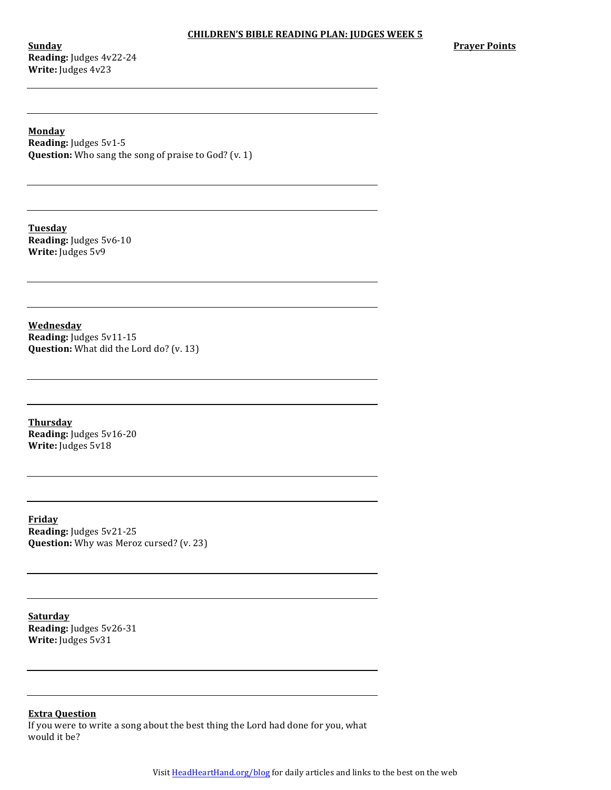**Sunday Reading:** Judges 4v22-24 **Write:** Judges 4v23

**Prayer Points** 

**Monday Reading:** Judges 5v1-5 **Question:** Who sang the song of praise to God? (v. 1)

**Tuesday Reading:** Judges 5v6-10 **Write:** Judges  $5v9$ 

**Wednesday Reading:** Judges 5v11-15 **Question:** What did the Lord do? (v. 13)

**Thursday Reading:** Judges 5v16-20 **Write:** Judges 5v18

**Friday Reading:** Judges 5v21-25 **Question:** Why was Meroz cursed? (v. 23)

**Saturday Reading:** Judges 5v26-31 **Write:** Judges 5v31

# **Extra Question**

If you were to write a song about the best thing the Lord had done for you, what would it be?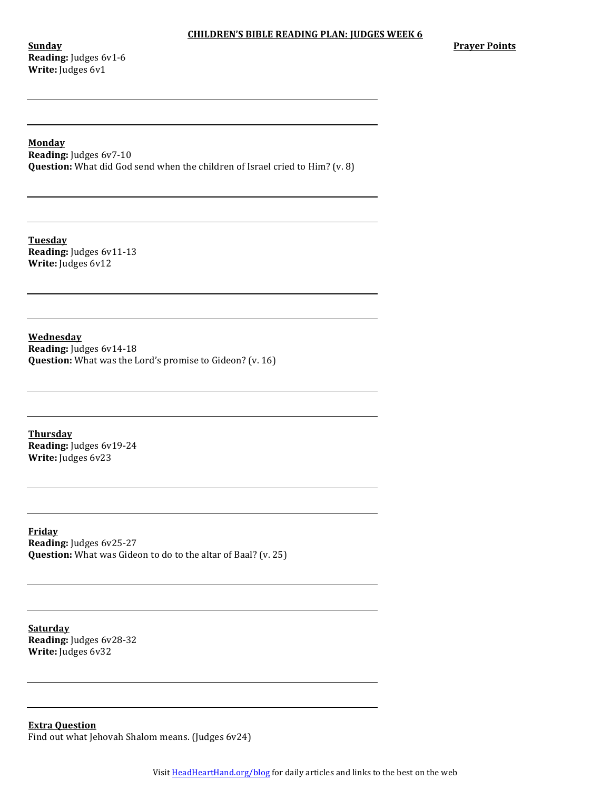**Sunday Reading:** Judges 6v1-6 **Write:** Judges 6v1

# **Monday**

**Reading:** Judges 6v7-10 **Question:** What did God send when the children of Israel cried to Him? (v. 8)

**Tuesday Reading:** Judges 6v11-13 **Write:** Judges 6v12

**Wednesday Reading:** Judges 6v14-18 **Question:** What was the Lord's promise to Gideon? (v. 16)

**Thursday Reading:** Judges 6v19-24 **Write:** Judges 6v23

**Friday Reading:** Judges 6v25-27 **Question:** What was Gideon to do to the altar of Baal? (v. 25)

**Saturday Reading:** Judges 6v28-32 **Write:** Judges 6v32

**Extra Question** Find out what Jehovah Shalom means. (Judges 6v24)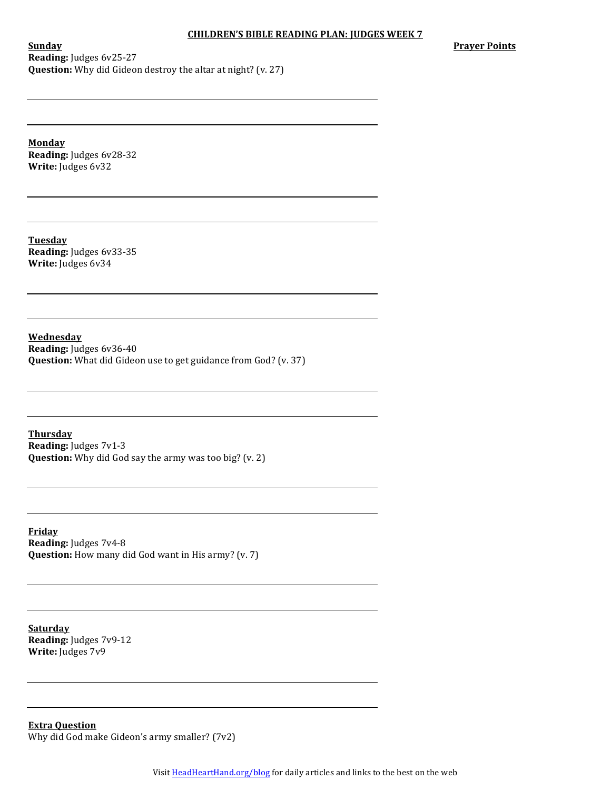**Prayer Points** 

**Sunday Reading:** Judges 6v25-27 **Question:** Why did Gideon destroy the altar at night? (v. 27)

**Monday Reading:** Judges 6v28-32 **Write:** Judges 6v32

**Tuesday Reading:** Judges 6v33-35 **Write:** Judges 6v34

**Wednesday Reading:** Judges 6v36-40 **Question:** What did Gideon use to get guidance from God? (v. 37)

**Thursday Reading:** Judges 7v1-3 **Question:** Why did God say the army was too big? (v. 2)

**Friday Reading:** Judges 7v4-8 **Question:** How many did God want in His army? (v. 7)

**Saturday Reading:** Judges 7v9-12 **Write:** Judges  $7v9$ 

**Extra Question** Why did God make Gideon's army smaller?  $(7v2)$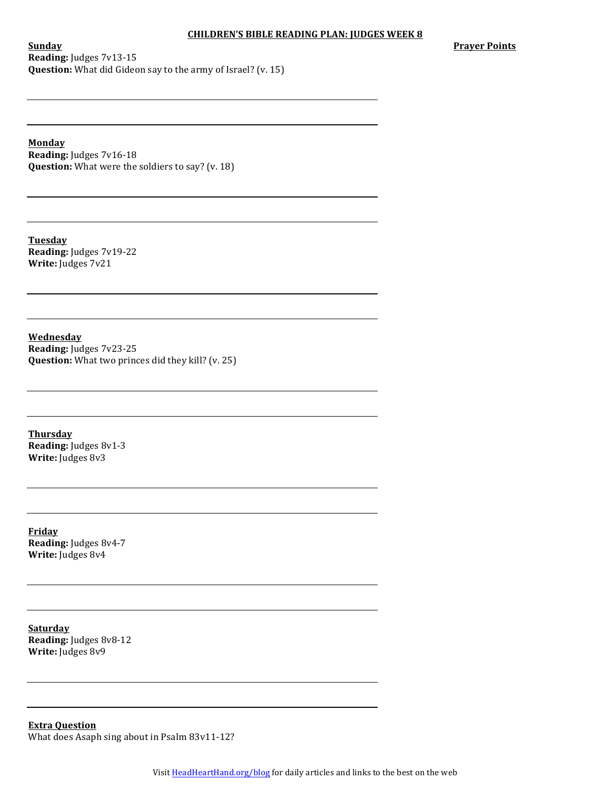**Sunday Reading:** Judges 7v13-15 **Question:** What did Gideon say to the army of Israel? (v. 15) **Prayer Points** 

**Monday**

**Reading:** Judges 7v16-18 **Question:** What were the soldiers to say? (v. 18)

**Tuesday Reading:** Judges 7v19-22 **Write:** Judges 7v21

**Wednesday Reading:** Judges 7v23-25 **Question:** What two princes did they kill? (v. 25)

**Thursday Reading:** Judges 8v1-3 **Write:** Judges 8v3

**Friday Reading:** Judges 8v4-7 **Write:** Judges 8v4

**Saturday Reading:** Judges 8v8-12 **Write:** Judges 8v9

**Extra Question** What does Asaph sing about in Psalm 83v11-12?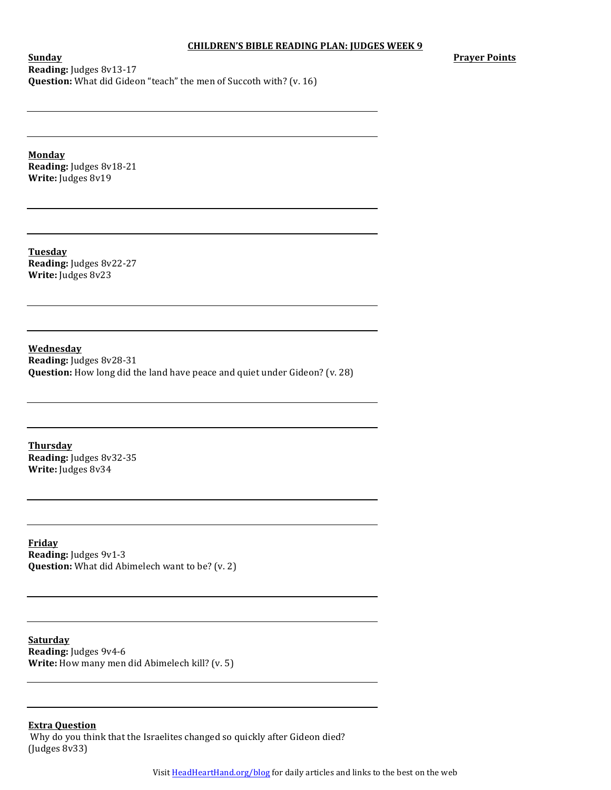**Prayer Points**

**Sunday Reading:** Judges 8v13-17 **Question:** What did Gideon "teach" the men of Succoth with? (v. 16)

**Monday Reading:** Judges 8v18-21 **Write:** Judges 8v19

**Tuesday Reading:** Judges 8v22-27 **Write:** Judges 8v23

**Wednesday Reading:** Judges 8v28-31 **Question:** How long did the land have peace and quiet under Gideon? (v. 28)

**Thursday Reading:** Judges 8v32-35 **Write:** Judges 8v34

**Friday Reading:** Judges 9v1-3 **Question:** What did Abimelech want to be? (v. 2)

**Saturday Reading:** Judges 9v4-6 **Write:** How many men did Abimelech kill? (v. 5)

## **Extra Question**

Why do you think that the Israelites changed so quickly after Gideon died?  $($ Judges  $8v33)$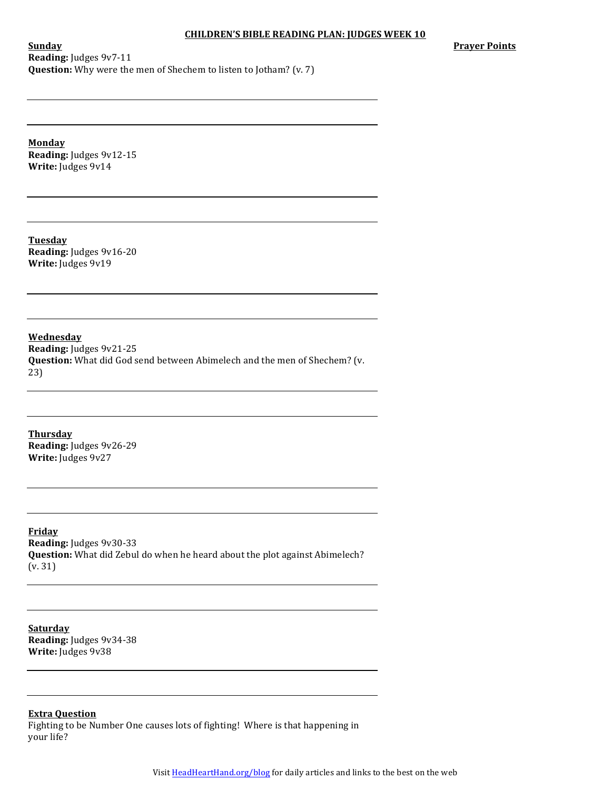**Prayer Points** 

**Sunday Reading:** Judges 9v7-11 **Question:** Why were the men of Shechem to listen to Jotham? (v. 7)

**Monday Reading:** Judges 9v12-15 **Write:** Judges 9v14

**Tuesday Reading:** Judges 9v16-20 **Write:** Judges 9v19

**Wednesday Reading:** Judges 9v21-25 **Question:** What did God send between Abimelech and the men of Shechem? (v. 23)

**Thursday Reading:** Judges 9v26-29 **Write:** Judges 9v27

**Friday Reading:** Judges 9v30-33 **Question:** What did Zebul do when he heard about the plot against Abimelech?  $(v. 31)$ 

**Saturday Reading:** Judges 9v34-38 **Write:** Judges 9v38

**Extra Question**

Fighting to be Number One causes lots of fighting! Where is that happening in your life?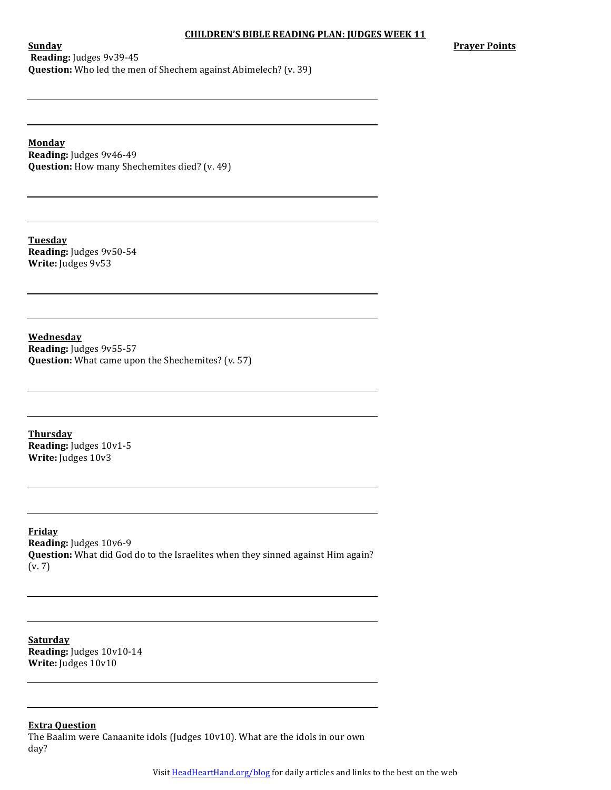**Prayer Points** 

**Sunday Reading:** Judges 9v39-45 **Question:** Who led the men of Shechem against Abimelech? (v. 39)

**Monday**

**Reading:** Judges 9v46-49 **Question:** How many Shechemites died? (v. 49)

**Tuesday Reading:** Judges 9v50-54 **Write:** Judges 9v53

**Wednesday Reading:** Judges 9v55-57 **Question:** What came upon the Shechemites? (v. 57)

**Thursday Reading:** Judges 10v1-5 **Write:** Judges 10v3

**Friday Reading:** Judges 10v6-9 **Question:** What did God do to the Israelites when they sinned against Him again?  $(v. 7)$ 

**Saturday Reading:** Judges  $10v10-14$ **Write:** Judges  $10v10$ 

## **Extra Question**

The Baalim were Canaanite idols (Judges  $10v10$ ). What are the idols in our own day?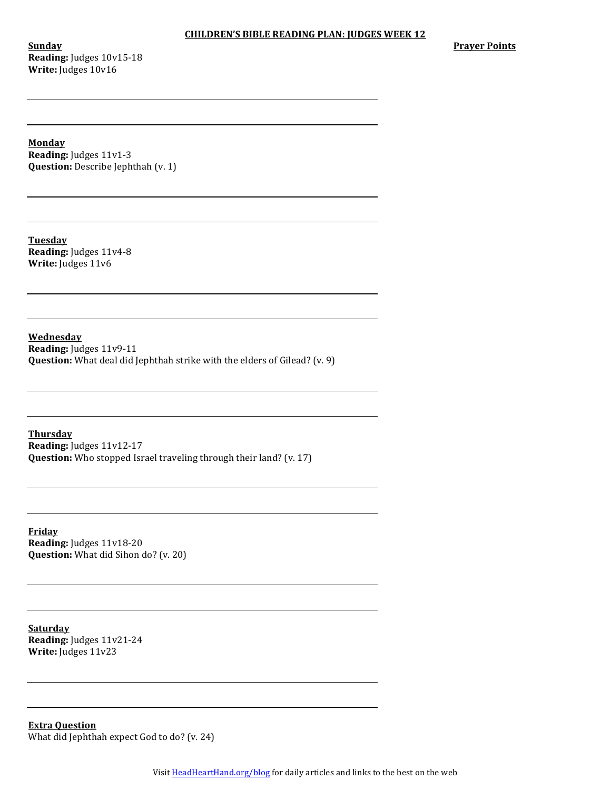**Sunday Reading:** Judges 10v15-18 Write: Judges  $10v16$ 

**Prayer Points** 

**Monday**

**Reading:** Judges 11v1-3 **Question:** Describe Jephthah (v. 1)

**Tuesday Reading:** Judges 11v4-8 **Write:** Judges 11v6

**Wednesday Reading:** Judges 11v9-11 **Question:** What deal did Jephthah strike with the elders of Gilead? (v. 9)

**Thursday Reading:** Judges 11v12-17 **Question:** Who stopped Israel traveling through their land? (v. 17)

**Friday Reading:** Judges 11v18-20 **Question:** What did Sihon do? (v. 20)

**Saturday Reading:** Judges 11v21-24 **Write:** Judges 11v23

**Extra Question** What did Jephthah expect  $God$  to  $do$ ? (v. 24)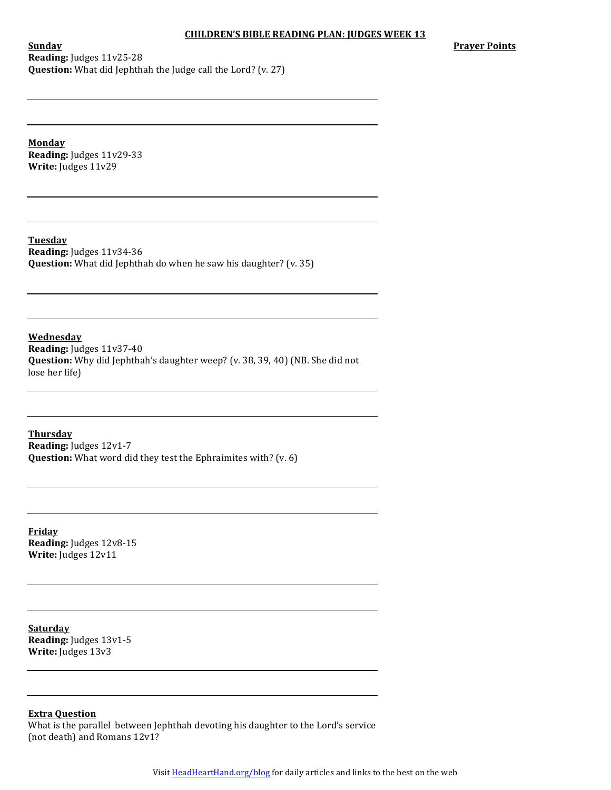**Prayer Points** 

**Sunday Reading:** Judges 11v25-28 **Question:** What did Jephthah the Judge call the Lord? (v. 27)

**Monday Reading:** Judges 11v29-33 **Write:** Judges 11v29

**Tuesday Reading:** Judges 11v34-36 **Question:** What did Jephthah do when he saw his daughter? (v. 35)

**Wednesday Reading:** Judges 11v37-40 **Question:** Why did Jephthah's daughter weep? (v. 38, 39, 40) (NB. She did not lose her life)

**Thursday Reading:** Judges 12v1-7 **Question:** What word did they test the Ephraimites with? (v. 6)

**Friday Reading:** Judges 12v8-15 **Write:** Judges 12v11

**Saturday Reading:** Judges 13v1-5 **Write:** Judges 13v3

# **Extra Question**

What is the parallel between Jephthah devoting his daughter to the Lord's service (not death) and Romans  $12v1$ ?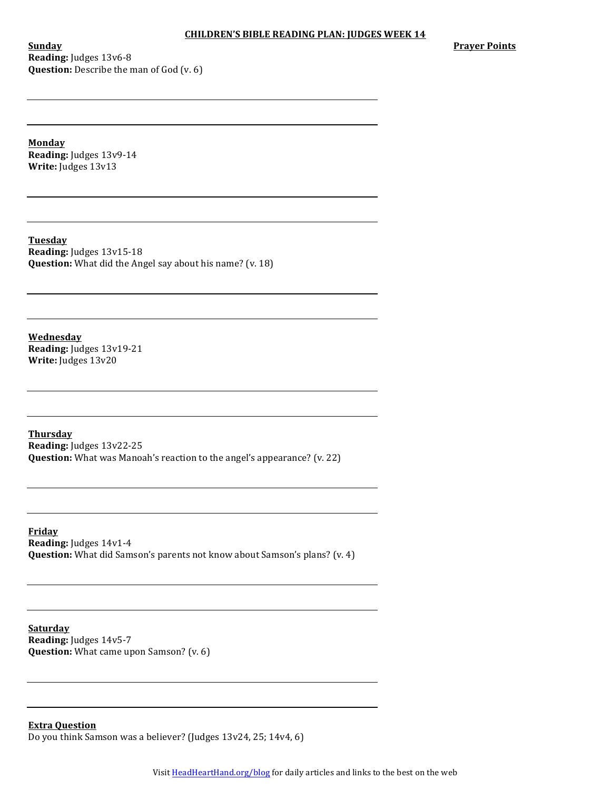**Sunday Reading:** Judges 13v6-8 **Question:** Describe the man of God (v. 6) **Prayer Points** 

**Monday Reading:** Judges 13v9-14 **Write:** Judges 13v13

**Tuesday Reading:** Judges 13v15-18 **Question:** What did the Angel say about his name? (v. 18)

**Wednesday Reading:** Judges 13v19-21 **Write:** Judges 13v20

**Thursday Reading:** Judges 13v22-25 **Question:** What was Manoah's reaction to the angel's appearance? (v. 22)

**Friday Reading:** Judges 14v1-4 **Question:** What did Samson's parents not know about Samson's plans? (v. 4)

**Saturday Reading:** Judges 14v5-7 **Question:** What came upon Samson? (v. 6)

**Extra Question**

Do you think Samson was a believer? (Judges  $13v24$ ,  $25$ ;  $14v4$ , 6)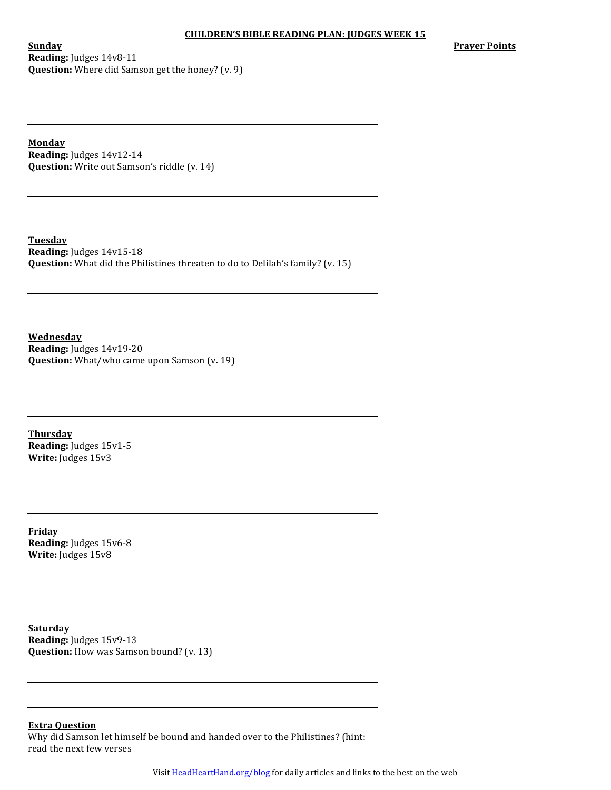**Sunday Reading:** Judges 14v8-11 **Question:** Where did Samson get the honey? (v. 9) **Prayer Points** 

**Monday**

**Reading:** Judges 14v12-14 **Question:** Write out Samson's riddle (v. 14)

**Tuesday Reading:** Judges 14v15-18 **Question:** What did the Philistines threaten to do to Delilah's family? (v. 15)

**Wednesday Reading:** Judges 14v19-20 **Question:** What/who came upon Samson (v. 19)

**Thursday Reading:** Judges 15v1-5 **Write:** Judges 15v3

**Friday** Reading: Judges 15v6-8 **Write:** Judges 15v8

**Saturday Reading:** Judges 15v9-13 **Question:** How was Samson bound? (v. 13)

**Extra Question**

Why did Samson let himself be bound and handed over to the Philistines? (hint: read the next few verses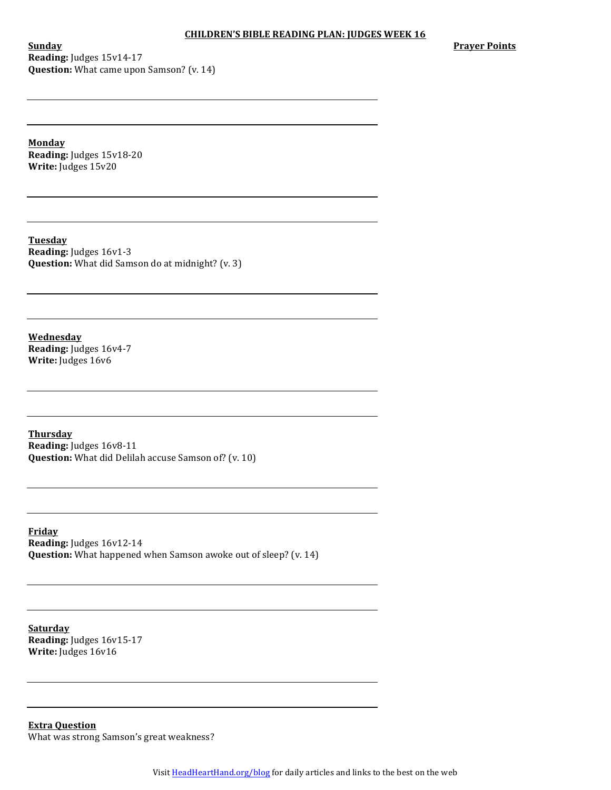**Sunday Reading:** Judges 15v14-17 **Question:** What came upon Samson? (v. 14) **Prayer Points** 

**Monday Reading:** Judges 15v18-20 **Write:** Judges 15v20

**Tuesday Reading:** Judges 16v1-3 **Question:** What did Samson do at midnight? (v. 3)

**Wednesday Reading:** Judges 16v4-7 **Write:** Judges 16v6

**Thursday Reading:** Judges 16v8-11 **Question:** What did Delilah accuse Samson of? (v. 10)

**Friday Reading:** Judges 16v12-14 **Question:** What happened when Samson awoke out of sleep? (v. 14)

**Saturday Reading:** Judges 16v15-17 **Write:** Judges 16v16

**Extra Question** What was strong Samson's great weakness?